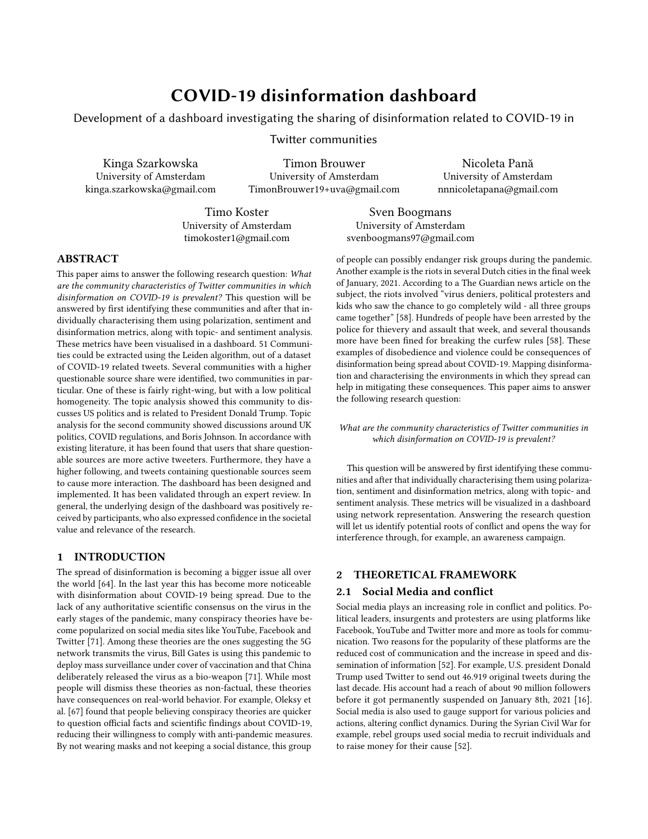# COVID-19 disinformation dashboard

Development of a dashboard investigating the sharing of disinformation related to COVID-19 in

Twitter communities

Kinga Szarkowska University of Amsterdam kinga.szarkowska@gmail.com

Timon Brouwer University of Amsterdam TimonBrouwer19+uva@gmail.com

Nicoleta Pană University of Amsterdam nnnicoletapana@gmail.com

Timo Koster University of Amsterdam timokoster1@gmail.com

Sven Boogmans University of Amsterdam svenboogmans97@gmail.com

# ABSTRACT

This paper aims to answer the following research question: What are the community characteristics of Twitter communities in which disinformation on COVID-19 is prevalent? This question will be answered by first identifying these communities and after that individually characterising them using polarization, sentiment and disinformation metrics, along with topic- and sentiment analysis. These metrics have been visualised in a dashboard. 51 Communities could be extracted using the Leiden algorithm, out of a dataset of COVID-19 related tweets. Several communities with a higher questionable source share were identified, two communities in particular. One of these is fairly right-wing, but with a low political homogeneity. The topic analysis showed this community to discusses US politics and is related to President Donald Trump. Topic analysis for the second community showed discussions around UK politics, COVID regulations, and Boris Johnson. In accordance with existing literature, it has been found that users that share questionable sources are more active tweeters. Furthermore, they have a higher following, and tweets containing questionable sources seem to cause more interaction. The dashboard has been designed and implemented. It has been validated through an expert review. In general, the underlying design of the dashboard was positively received by participants, who also expressed confidence in the societal value and relevance of the research.

# 1 INTRODUCTION

The spread of disinformation is becoming a bigger issue all over the world [\[64\]](#page-11-0). In the last year this has become more noticeable with disinformation about COVID-19 being spread. Due to the lack of any authoritative scientific consensus on the virus in the early stages of the pandemic, many conspiracy theories have become popularized on social media sites like YouTube, Facebook and Twitter [\[71\]](#page-11-1). Among these theories are the ones suggesting the 5G network transmits the virus, Bill Gates is using this pandemic to deploy mass surveillance under cover of vaccination and that China deliberately released the virus as a bio-weapon [\[71\]](#page-11-1). While most people will dismiss these theories as non-factual, these theories have consequences on real-world behavior. For example, Oleksy et al. [\[67\]](#page-11-2) found that people believing conspiracy theories are quicker to question official facts and scientific findings about COVID-19, reducing their willingness to comply with anti-pandemic measures. By not wearing masks and not keeping a social distance, this group

of people can possibly endanger risk groups during the pandemic. Another example is the riots in several Dutch cities in the final week of January, 2021. According to a The Guardian news article on the subject, the riots involved "virus deniers, political protesters and kids who saw the chance to go completely wild - all three groups came together" [\[58\]](#page-11-3). Hundreds of people have been arrested by the police for thievery and assault that week, and several thousands more have been fined for breaking the curfew rules [\[58\]](#page-11-3). These examples of disobedience and violence could be consequences of disinformation being spread about COVID-19. Mapping disinformation and characterising the environments in which they spread can help in mitigating these consequences. This paper aims to answer the following research question:

What are the community characteristics of Twitter communities in which disinformation on COVID-19 is prevalent?

This question will be answered by first identifying these communities and after that individually characterising them using polarization, sentiment and disinformation metrics, along with topic- and sentiment analysis. These metrics will be visualized in a dashboard using network representation. Answering the research question will let us identify potential roots of conflict and opens the way for interference through, for example, an awareness campaign.

# 2 THEORETICAL FRAMEWORK

#### 2.1 Social Media and conflict

Social media plays an increasing role in conflict and politics. Political leaders, insurgents and protesters are using platforms like Facebook, YouTube and Twitter more and more as tools for communication. Two reasons for the popularity of these platforms are the reduced cost of communication and the increase in speed and dissemination of information [\[52\]](#page-11-4). For example, U.S. president Donald Trump used Twitter to send out 46.919 original tweets during the last decade. His account had a reach of about 90 million followers before it got permanently suspended on January 8th, 2021 [\[16\]](#page-10-0). Social media is also used to gauge support for various policies and actions, altering conflict dynamics. During the Syrian Civil War for example, rebel groups used social media to recruit individuals and to raise money for their cause [\[52\]](#page-11-4).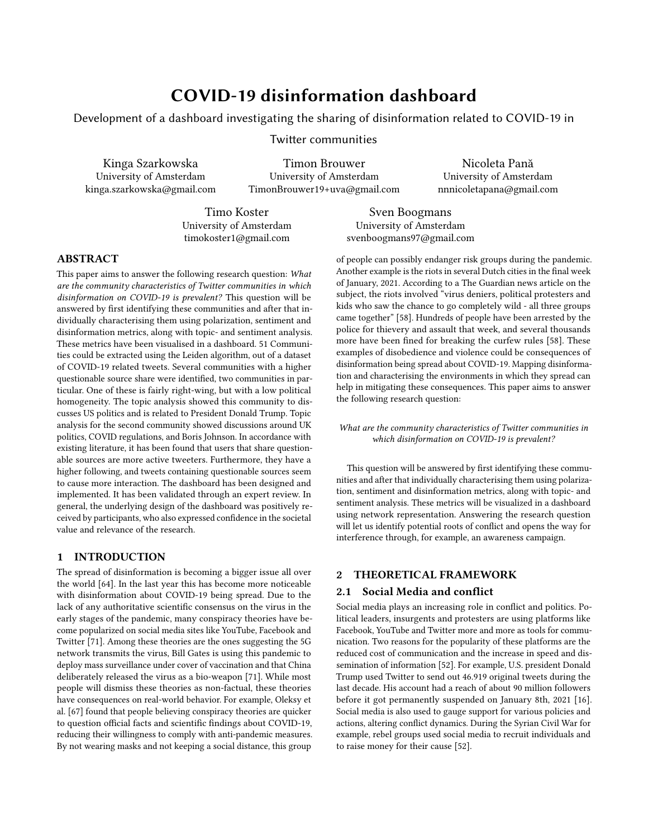#### 2.2 Echo-chambers and fake-news

The work of the recommendation algorithms used widely on social media might result in the creation of echo chambers. Echo chambers are a phenomenon in which people are surrounded by the information that reinforces their beliefs, and in which any critical thought is suppressed by the same set of ideas being presented over and over [\[66\]](#page-11-5). It is hypothesised that this phenomenon could be a place where fake-news is prevalent [\[79\]](#page-11-6), but there is little empirical evidence for the basis of these concerns [\[46\]](#page-11-7).

2.2.1 Users and tweets characterisation. It is important to analyse the users and tweets spreading fake-news. If mostly users with a small following share fake-news, their effects might not be as big as when these users have a large following. It has been demonstrated that during the 2016 US presidential election, users who share fakenews are more active, i.e. they tweet more than users who do not [\[47\]](#page-11-8). Additionally, tweets containing links to fake news articles are retweeted significantly more often [\[47\]](#page-11-8).

#### 2.3 Communities extraction

Community detection is one of the tools that help reveal the hidden structure of nodes in a network. It can be used in parallel computing: distributing processes over multiple computer processors. Finding an exact solution for community clustering is an NP-hard problem [\[55\]](#page-11-9), and many acceptable heuristics algorithms have been developed for this task. For networks presented in a graph structure, several different methods for clustering can be used, starting with traditional graph methods (such as graph partitioning, hierarchical clustering), divisive algorithms (such as the algorithm of Girvan and Newman), modularity-based methods (such as Louvain and Leiden algorithm), spectral algorithms, dynamic algorithms and methods based on statistical inference [\[55\]](#page-11-9). Each of these methods focuses on a slightly different problem, with a different objective, and therefore their results can diverge extensively. For example, modularitybased methods focus on optimizing a modularity function, whereas divisive algorithms remove edges that connect vertices of different communities using edge centrality [\[55\]](#page-11-9). Various benchmarks [\[54,](#page-11-10) [81\]](#page-11-11) might be considered with community detection algorithm selection.

## 2.4 Communities characterisation

2.4.1 Political polarity. Predicting political leaning on social media can be done with support-vector machines [\[50\]](#page-11-12), gradient boosted decision trees [\[68\]](#page-11-13), and more recently fastText deep learning methods [\[76\]](#page-11-14). A method recently used for political characterization of tweet groups is a link detection algorithm introduced by Choi et al. [\[48\]](#page-11-15), in which content polarity is measured by detecting URLs in the latest 400 tweets of users, and using the average political polarity score of those links. The dataset of URLs and their political polarity scores are from a previous research, and consists of 500 most shared news websites on Facebook and their polarity scores from 2015 [\[38\]](#page-11-16). These polarity scores have been assigned by looking at the average (voluntarily submitted) political leaning of users who shared such a URL on Facebook [\[38\]](#page-11-16). An advantage of the link-detection method by Choi et al. is that it avoids a lot of explainability problems complex models have to deal with [\[59\]](#page-11-17). A

drawback however, is that the method relies on access to the tweet history of individual users [\[38\]](#page-11-16). Another drawback is the fact that the dataset used is from 2015 before the U.S. elections.

2.4.2 Political homogeneity. Political polarization can cause the formation of groups with homogeneous political views [\[49\]](#page-11-18). The political homogeneity is calculated by Conover et al. [\[49\]](#page-11-18) using the average cosine similarity of the political content for a pair of users. Using this technique, Conover et al. [\[49\]](#page-11-18) found that the political homogeneity is significantly lower for users that mention each other, compared to users that retweet each other. They explain this phenomenon by stating that mentions are used to engage in discussions with people who have different political views [\[49\]](#page-11-18). Another method for political homogeneity computation has been developed by Choi et al. [\[48\]](#page-11-15). They use the political leaning for a pair of users to calculate the user homogeneity:  $\omega_n = \sigma_i \sigma_j$ , in which  $\sigma_i$  is the political polarity of user i [\[48\]](#page-11-15). The political polarity of a user  $(\sigma_i)$  is a number between -2 (left-wing) and +2 (right-wing), ensuring that the political homogeneity of a user pair is between -4 (diverse political views) and +4 (homogeneous political views) [\[48\]](#page-11-15). Notice that a centered political polarity score (around 0) also results in a political homogeneity of around 0 [\[48\]](#page-11-15).

2.4.3 Fake news detection. Questionable source detection is a growing field in academia, with numerous detection algorithms under development [\[74\]](#page-11-19). Some of these algorithms are quite complex, like the tri-relationship embedding framework [\[75\]](#page-11-20), modeling publishernews relationships as well as user-news interactions, or the CSI (Capture Score and Integrate) model [\[69\]](#page-11-21), using multiple integrated neural networks. Both models have a reduced explainability [\[59\]](#page-11-17), making it difficult to justify its classifications, or to make changes to its decision process [\[70\]](#page-11-22). A method that surpasses these problems is a simple link detection algorithm used by Sharma et al. [\[72\]](#page-11-23). This link detection algorithm detects if tweets contain a URL from a dataset of questionable sources [\[72\]](#page-11-23). The dataset of questionable sources has been composed with data from NewsGuard $^1$  $^1$ , and MediaBias/FactCheck  $^2$  $^2$ . Both sources are described by Sharma et al. as: "[They] conduct independent journalistic verification on the credibility of both individual claims surfaced on social media, as well as the associated news publishing websites linked to false, unreliable and misleading claims" [\[72\]](#page-11-23). Furthermore, both NewsGuard and MediaBias/FactCheck are updated regularly, and have a transparent rating process [\[72\]](#page-11-23).

2.4.4 Sentiment Analysis. Identifying sentiments towards selected topics, or identifying general emotions that accompany people in the discussion groups is a widely investigated area [\[51\]](#page-11-24). Three categories of sentiment detection can be identified, namely: lexiconbased, machine learning, and hybrid methods [\[51\]](#page-11-24). The lexiconbased approach assumes the polarity of a sentence to be equal to the sum of polarities of individual phrases or words [\[51\]](#page-11-24). This method requires a predefined dictionary, that could be created using emotional research on sentiment associations on words, emoticons, or series of punctuation symbols [\[51\]](#page-11-24). Machine learning works with a pre-labeled dataset, using e.g. Naïve Bayes, Support Vector Machines, Maximum Entropy, or deep learning classification tools,

<span id="page-1-0"></span><sup>1</sup><newsguardtech.com>

<span id="page-1-1"></span><sup>2</sup><mediabiasfactcheck.com>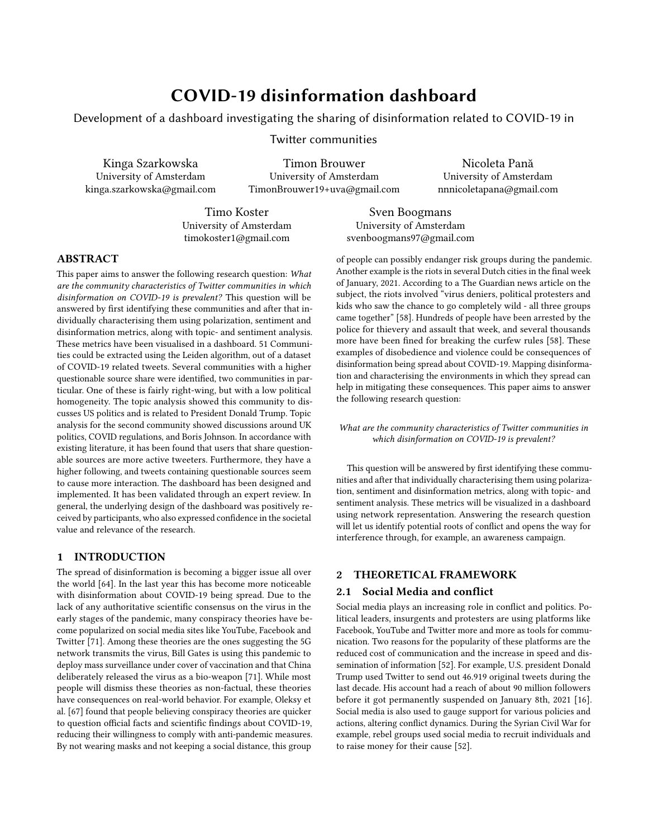and learns how to assign sentiment to a given statement [\[51\]](#page-11-24). Finally, the hybrid approach is a combination of the two above [\[51\]](#page-11-24). The selection of the method depends on the length of the text, dataset availability (especially with supervised machine learning methods), and the type of classification.

2.4.5 Discussion topics identification. As Twitter is a social media platform used to express, share, and collide opinions, characterising communities and validating the communities extraction can be done using topic analysis tools. Topic modeling is a statistical tool to extract topics (latent variables), from text documents [\[44\]](#page-11-25). This process might be done using several methods [\[80\]](#page-11-26), from popular and basic approaches such as Latent Dirichlet Allocation (LDA), through topic models with an advanced topic relationship (e.g. Correlated Topic Model, or Pachinko Allocation Model), time-based models (dynamic topic models, or continuous-time modeling), or shorttext optimized topic models (e.g. self-aggregating topic models). All of those methods make different assumptions, have different limitations, and use different approximations [\[80\]](#page-11-26).

#### 2.5 Existing dashboards

In terms of visualising disinformation through dashboards, a series of initiatives and approaches already exist. With respect to tracking disinformation on social networks, the Rand Corporation [\[30\]](#page-10-1) has been running a fully operational online dashboard since 2017 [\[22\]](#page-10-2). It is process focused in the way that it is concerned with how information is produced and disseminated within the context of influence campaigns and information operations (which can include false or manipulated information) run by state-backed Russian, Chinese and Iranian actors [\[23\]](#page-10-3). It does, however, present a large disclaimer in the sense that the information provided requires further analysis before any of its content can be labelled as state-propaganda [\[23\]](#page-10-3). This dashboard is also positioned as an awareness tool, whose intended users are the general public [\[23\]](#page-10-3). Two dashboards dealing with COVID-19 disinformation were also developed at Ryerson University [\[15\]](#page-10-4) in Canada. The first is focused with tracking and visualising dismantled coronavirus claims globally [\[11\]](#page-10-5). It employs human fact-checkers, who label claims with a series of statements such as 'false', 'missing context', or 'wrong' among others [\[11\]](#page-10-5). It also records the prevalence of certain questionable claims over time and directs to the source of the claim (the URL)[\[11\]](#page-10-5). Another dashboard presents a global overview of questionable claims in a map format [\[10\]](#page-10-6). Both use the same labelling approach and data and are updated every 24 hours. In such, they visually represent in different ways the same analysis. They are both built with Google Data Studio [\[13\]](#page-10-7). A third dashboard, built on Gephi[\[39\]](#page-11-27) and SigmaExporter[\[19\]](#page-10-8), outlines a semantic network which displays frequently co-occuring words in analysed claims. Google Fact-Check Tools [\[17\]](#page-10-9), Google Translate[\[20\]](#page-10-10) and VosViewer[\[35\]](#page-10-11) are further used in the preparation of the data for the visualisation.

# 2.6 Ethical aspects of countering disinformation

There are certain ethical aspects that must be taken into account when addressing disinformation. For mandated actors, such as governments, the question arises how best to confront disinformation

without, as Bjola argues, losing track of moral authority [\[41\]](#page-11-28). What Bjola argues in his essay is that a position of moral authority is beneficial in the sense that an actor's arguments are prioritised by others [\[41\]](#page-11-28). Moral authority is, according to Bjola's analysis, confirmed when three conditions are met: firstly, that the actor can make a case that they have been harmed, secondly, that there is normative standing for counter-interventions and thirdly, that such interventions are done in an appropriate manner (e.g. are proportional) [\[41,](#page-11-28) [42\]](#page-11-29). However, Bjola also states that if an actor is able to counter disinformation, they have the normative standing to do so [\[41,](#page-11-28) [42\]](#page-11-29). Three normative attributes are described as important in evaluating whether to intervene. Firstly, accountability – meaning that the actor must be subject to public scrutiny [\[41\]](#page-11-28), as errors can have grave consequences [\[41\]](#page-11-28). Secondly, integrity, which demonstrates that the stated objectives (combating disinformation) and the actions undertaken are aligned [\[41\]](#page-11-28). To Bjola, this addresses any suspicions of hypocrisy, malicious intent, or sheer incompetence [\[41\]](#page-11-28). Thirdly, the mandated actor's effectiveness in conducting the intervention [\[41\]](#page-11-28). The attributes, as Bjola demonstrates, provide normative standing to an actor to intervene, as there is a moral goal, trust in the action and no perceived abuse of power [\[41\]](#page-11-28).

# 3 METHODOLOGY

#### 3.1 Data

Several social media platforms have been considered for analysis to answer the research question. Facebook and YouTube among other platforms evidently host echo chambers with polarized users sharing the same views [\[40\]](#page-11-30) and have shown to be highly influential in the spread of conspiracy theories about COVID-19 [\[56\]](#page-11-31). Through the Facebook Graph API [\[1\]](#page-10-12) and the YouTube Data API [\[2\]](#page-10-13), publicly available data can be accessed. Given our familiarity with the Twitter API [\[5\]](#page-10-14), the ease of finding corona related data and the availability of a pre-collected dataset, Twitter was selected as the datasource for this research. The twitter dataset has been pre-collected by Lamsal [\[63\]](#page-11-32). The dataset contains about a billion tweets in total, starting from March 20, and is expanded daily. The data was collected by streaming English tweets based on COVIDrelated hashtags and keyword filters using twitters streaming API [\[63\]](#page-11-32). To reduce computational costs, the data has been limited to tweets from September 25th until October 2nd. The dates have been chosen to not too close to the US election date (November 3rd) as to avoid potential bias, while still being relatively recent. Opting for recent data also means that the chance of a decent chunk of tweets and user accounts being deleted will be mitigated. Since Twitter does not allow JSON format of the tweets to be shared with third parties [\[63\]](#page-11-32), the dataset provides only the IDs of the tweets in daily csv files. This means that before the dataset can be used, the original JSON from the tweet ID's has to be extracted. This process is known as the hydration of tweet IDs. Using twarc [\[6\]](#page-10-15) and Hydrator [\[4\]](#page-10-16) this process can be performed at a rate of about 360.000 tweets per hour considering twitter's API request limit [\[5\]](#page-10-14). For the specified time frame, this has been done for more than 18 million tweets.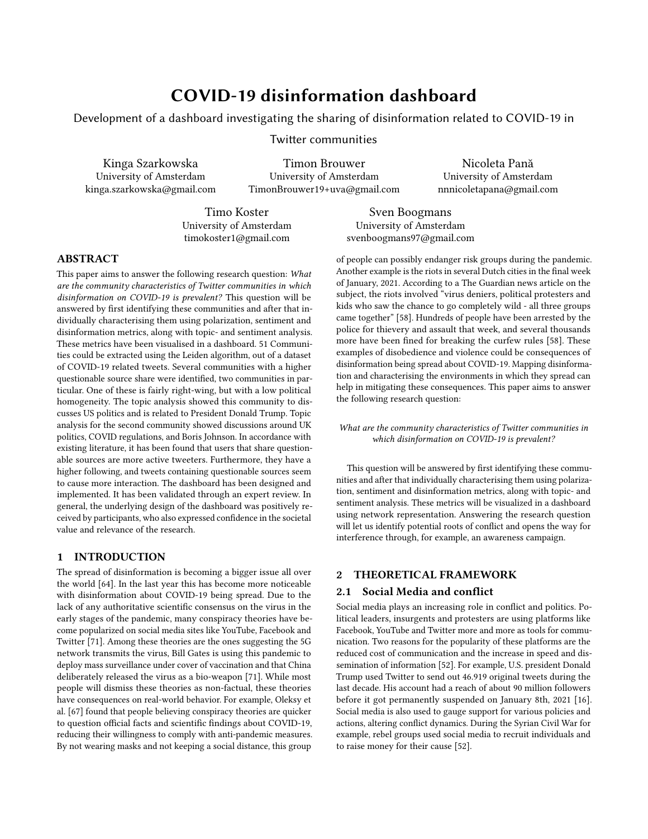#### 3.2 Community extraction

Choosing the right community extraction method requires thorough problem understanding, a precise definition of a cluster or community, and knowledge of our computational capabilities. In this research, we focus on extracting communities out of a set of nodes (used as a representation of users), where each node belongs to one community only. Therefore, given a dataset consisting of millions of nodes, rather limited computational capabilities, the time-limit of the project, and no intuition for selecting a pre-defined number of clusters in the network, it was decided to use Leiden algorithm. The Leiden algorithm was introduced in 2019 by Traag, Waltman, and Van Eck [\[78\]](#page-11-33). It is an improved version of the Louvain algorithm [\[45\]](#page-11-34), which is considered as one of the most commonly used algorithms for network clustering. Both algorithms focus on the optimization of the graph modularity function $^3$  $^3$ , which is the difference between the actual number of edges and the expected number of edges in the community. Traag, Waltman, and Van Eck have proven [\[78\]](#page-11-33) that the Louvain algorithm might yield badly connected communities, sometimes causing a loss of connection between two of the communities. Their improved Leiden algorithm has three steps: 1. nodes are moved locally to the community that yields the biggest increase in the quality (modularity) function, 2. the resulted partition is refined (nodes are moved within communities to look for the best sub-communities partition), and 3. the network is aggregated using the partition from step 2. The authors empirically show that the Leiden algorithm yields partitions without badly connected communities, and is computationally more efficient compared to the Louvain algorithm.

#### 3.3 Metrics and analysis

3.3.1 Questionable Sources and Political Polarity. Questionable sources are detected via simple link detection: tweets that contain at least one questionable link are flagged. A dataset containing these questionable sources has been constructed using listed questionable sources from both NewsGuard $^4$  $^4$  and MediaBias/FactCheck $^5$  $^5$ . From NewsGuard, A COVID-19 specific dataset of questionable sources was used. From MediaBias/FactCheck, a general dataset of questionable sources was used. Combining the NewsGuard and MediaBias/FactCheck databases resulted in a dataset of 762 URLs. The political polarity of a tweet is constructed using the political polarity of linked websites in a tweet. An existing database of 500 news websites and their polarity scores has been used [\[38\]](#page-11-16). These websites have been assigned a polarity between -1 (denoting a leftwing affiliation) and +1 (denoting a right-wing affiliation). Tweets are given the same polarity scores as their linked URLs. Tweets with multiple URLs from the political polarity dataset are assigned the mean polarity score of those URLs. Both the questionable source and the political polarity datasets contain URLs in their simplest form, often linking to the landing page of a news website. This ensures sub-pages to still be detected if a URL from the dataset is part of the full URL in the tweet.

3.3.2 Political Homogeneity and Echo-chamber Score. Using the political polarity of tweets, the political homogeneity for a community is calculated. The political polarity for a group of tweets (community) can be calculated using equation [1](#page-3-3) and equation [2,](#page-3-4) in which  $\Omega$  is the political homogeneity,  $\omega_n$  the content homogeneity of a tweet pair, and  $\sigma_i$  the political polarity of a tweet *i*. *N* Denotes all possible tweet pair combinations.

<span id="page-3-3"></span>
$$
\omega_n = \sigma_i \quad \sigma_j \tag{1}
$$

<span id="page-3-4"></span>
$$
\Omega = \frac{1}{N} \sum_{n \ge N} \omega_n \tag{2}
$$

Notice that equation [1](#page-3-3) and [2](#page-3-4) simply define political homogeneity for a group of tweets as the average product of political polarities for all possible tweet pairs in that group. Only tweets with a political polarity score assigned are taken into account. To save computational costs, the political homogeneity was approximated using 1000 randomly selected tweet pairs from the community. The political homogeneity is a number between -1 (denoting extreme political diversity) and +1 (denoting extreme political homogeneity). Using the political homogeneity and the community expansion $^6$  $^6$ , the echo-chamber score is calculated. The echo-chamber score can be calculated using equation [3,](#page-3-6) in which  $\epsilon$  is the echo-chamber score,  $Ω$  the political homogeneity, and  $η$  the community expansion.

<span id="page-3-6"></span>
$$
\epsilon = \frac{\Omega}{2} \frac{1}{\eta} \tag{3}
$$

Notice that the political homogeneity is re-scaled to a number between 0 and 1. Also notice that a high political homogeneity and a low expansion results in a high echo-chamber score. The echo-chamber score has a lower limit of zero (denoting no echochamberness) and no upper limit. A higher echo-chamber score signifies more echo-chamber-like behaviour within that community.

3.3.3 Sentiment Analysis. In this research VADER, a lexicon-based sentiment approach, is used. First of all, the VADER approach was designed and proved to work relatively well for short social-media texts [\[60\]](#page-11-35). What is more, in every tweet a COVID-19 related word is present, and building a machine learning classifier might create a bias towards one or a set of those words. VADER was implemented using the NTLK $^7$  $^7$  library. Text was pre-processed, starting with removing HTML encoding, newlines, hashtags (#), mentions (@) symbols, RT or citation annotations, numbers, whitespaces, and non-ASCII symbols. Punctuation and emoticons were not removed, as VADER is designed to understand those and takes them into its sentiments calculations. VADER sentiment assigns sentiment value using a numerical range from -1 to 1, where -1 means negative, and 1 positive sentiment. Tweets were labeled with negative sentiment when the sentiment value was below -0.1, and positive sentiment with a value above  $0.1^8$  $0.1^8$  (values in between were classified as a neutral sentiment). In order to validate this method, 4 of the authors manually labeled 500 randomly selected tweets. The final sentiment class was selected by talking mean of all answers and then using -0.1

<span id="page-3-0"></span><sup>&</sup>lt;sup>3</sup>Modularity function is given by the formula:  $H = \frac{1}{2m} \sum_{c} e_{c} \gamma \frac{K_{c}^{2}}{2m}$ , where *m* is the total number of edges in the community,  $e_{c}$  and  $K_{c}$  are the number of edges and the sum of degrees of the nodes in the community  $c$  respectively, and  $\gamma > 0$  is a resolution parameter.

<span id="page-3-1"></span><sup>&</sup>lt;sup>1</sup><newsguardtech.com>

<span id="page-3-2"></span><sup>5</sup><mediabiasfactcheck.com>

<span id="page-3-5"></span> $\overline{6}$  Community expansion is the average number of edges for a node that point to nodes in a different community.

<span id="page-3-7"></span><sup>7</sup><https://www.nltk.org/>

<span id="page-3-8"></span><sup>&</sup>lt;sup>8</sup>In order to capture e.g. sarcasm, the discriminating values are slightly higher en lower than in the original paper [\[60\]](#page-11-35).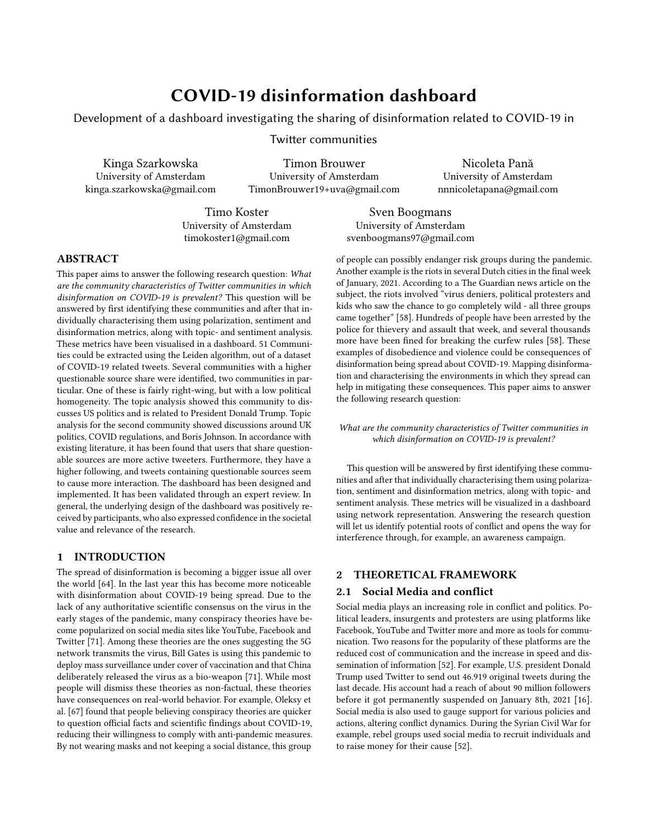as a negative threshold, and 0.1 as a positive one. Within the selected data, the sample class distribution was not equal (98 positive, 135 neutral, and 267 negative tweets), a weighted F1 score [\[73\]](#page-11-36) was used to validate the method with a result of 0.573.

3.3.4 Discussion Topics. Even though the Latent Dirichlet Allocation method is considered as a state-of-the-art topic modeling tool, it does not lack flaws [\[80\]](#page-11-26). Yet, it was decided to use LDA as a topic analysis tool for two reasons, 1. as it is well-suited for general topic modeling tasks [\[80\]](#page-11-26), 2. the intention was to extract topics from communities themselves rather as a characterization method, and communities extraction validation tool, and not as a separate or combined tool to extract the communities<sup>[9](#page-4-0)</sup>. What is more, the 50 most frequent hashtags used in a community were extracted, as another overview for discussion topics in a community. In both analyses we used only hashtags from tweets, as first of all, they are used to highlight the most important things mentioned in the tweet, and they were created to allow people easily follow topics they are interested in [\[3\]](#page-10-17), and second of all, with this size of a dataset, it was computationally more efficient to analyse only hashtags, instead of all words. Hashtags were pre-processed, the text was lowercased, words related to COVID-19 [\[63\]](#page-11-32) were removed, and non-ASCII characters, whitespaces, words shorter than 3 letters, and symbols such as "\_" were also removed. Analysis was performed for each community, returning a word-cloud chart for most frequent hashtags used, and returning tables with a manually assigned theme for topics that covered at least 5% of tweets in each community.

3.3.5 Users and tweets. As mentioned in the theoretical framework, the effect of fake news sources can only be demonstrated when it is analysed what users these sources share, and especially how many users interact with these sources. For this, users and tweets were divided into two groups: users and tweets that had shared links from questionable sources within the dataset and those who did not. Of the 18,053,938 tweets in the dataset shared by a total of 5,042,188 users there were 87,676 tweets containing a link to one or more questionable sources, shared by a group of 49,584 users. For the user statistics, the following metrics were analysed: number of followers, number of tweets in the dataset, mean number of retweets per tweet and the mean amount of urls shared per tweet. Further user metrics were the number of verified users among the two groups, and the account age, to get a glimpse of Twitter's role in preventing the spread of fake news. However, with the limited timespan of the dataset used, these metrics alone might give a skewed impression, as there is a higher chance of finding questionable sources in the accounts of users who tweet more. For this reason, six further metrics on a per tweet basis were considered. These metrics can be subdivided in interaction and content metrics. The three interaction metrics are the amount of retweets a tweet gets, the amount of favourites and the amount of incoming replies and quotes. The three content metrics used were the hashtag count, the url count and the number of user mentions in a tweet. To account for the fact that tweets with links in them might get more interaction in

general, only tweets with urls were considered. Additionally, only the original tweets were kept: retweets were left out of the tweet analysis. This left 2,604,548 tweets of which 40,369 tweets contained a link to a questionable source. Finally, all of these metrics were compared with independent t-tests from the SciPy python library  $10$ , except for the verified user count, for which the Fisher's exact test was used. There were considerable outliers in the dataset in the various metrics. For this reason, the top 1% of the users in the respective metric considered were disregarded, except for the account age metric.

#### 3.4 Dashboard

In order to communicate the results, a dashboard was designed, implemented and eventually validated in an expert review. In such the overall process from idea generation to validation contains the following phases, each with their own output:

Ideation: Define dashboard requirements, scope and context, generate ideas and solutions;

Prototyping: Converge outcomes of ideation phase into a low fidelity prototype, as a way of further defining the proposed dashboard solution;

Implementation: Implementation of the defined design into an interactive dashboard, which can be used for validating the proposed dashboard solution;

Validation: Evaluating the usability of the proposed dashboard solution and gathering insights from experts which can be employed to further improve and expand the dashboard;

<span id="page-4-2"></span>

Figure 1: Persona defined in the ideation process

3.4.1 Ideation and prototyping. Within the ideation phase a series of frameworks were employed to contextualise, define and eventually converge into a dashboard design which can be further defined through a low fidelity prototype in the Prototyping phase. Baseline requirements were identified and categorised on the basis of a brief received from TNO [\[14\]](#page-10-18), the organisation commissioning the research. They were further defined and verified in conversations with TNO representatives. Furthermore, personas[\[57\]](#page-11-38) of the

<span id="page-4-0"></span><sup>&</sup>lt;sup>9</sup>Topic models calculate the distribution of topics using posterior expectations, but as that approach sometimes might be too complicated approximation needs to be used. LDA uses Dirichlet distribution as that approximation. It allocates words in each document to a small number of topics, and in each topic it assigns a high probability to a few terms [\[43\]](#page-11-37).

<span id="page-4-1"></span> $^{10}\mathrm{https://www.scipy.org/}$  $^{10}\mathrm{https://www.scipy.org/}$  $^{10}\mathrm{https://www.scipy.org/}$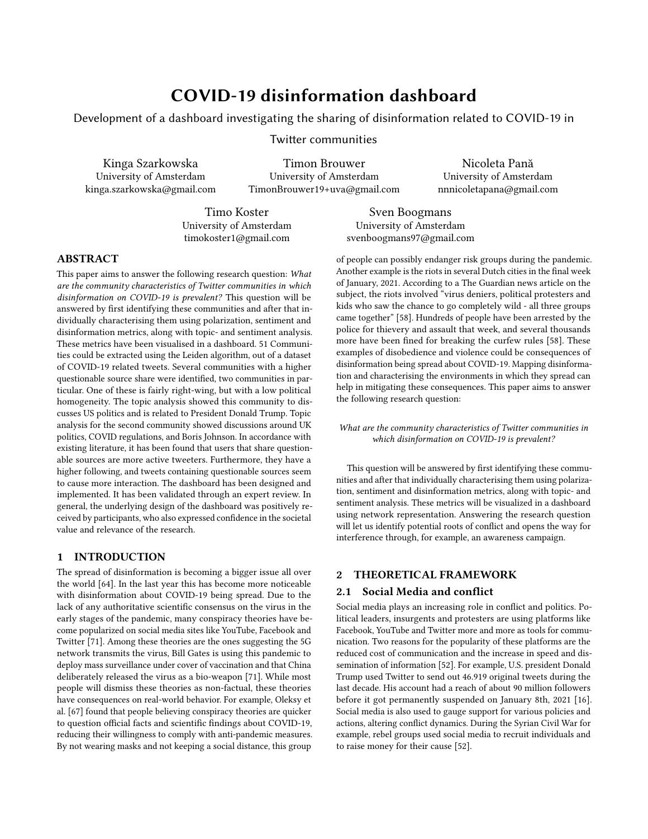<span id="page-5-0"></span>

Figure 2: MoScoW employed in ideation

intended users were developed, to guide the design process. Figure [1](#page-4-2) shows the characteristics of the defined personas. The MoScoW [\[28\]](#page-10-19) method was employed to prioritise features and functionalities. Figure [2](#page-5-0) shows the defined priorities within the MoScoW. The output of the frameworks was shared and refined in sessions with the main TNO representatives. The results of the ideation process form the basis of a low fidelity prototype of the dashboard. The low fidelity prototype is made up of a series of wireframes of the various dashboard pages and components, representing the types of visualisations employed, the type of data and analysis that corresponds to each visualisation, possible actions at different levels of the dashboard (global, page level, visualisation level). The low fidelity prototype thus represents not only the organisation of information within distinct dashboard pages, but also between them.

3.4.2 Implementation. From the basis yielded by the Ideation and Prototyping phases, the dashboard was implemented in a web environment. The URL where the implementation is hosted is [https://covid19disinformation-dash.webflow.io.](https://covid19disinformation-dash.webflow.io)

Organisation and visualisation The dashboard is organised within three main dimensions to the analysed data: network dimension, communities dimension and disinformation dimension. Each of these dimensions allows for viewing and interacting with insights generated at different levels of detail. Two additional pages are further introduced. To facilitate better and more efficient user navigation the 'Start' page (which is also the home page) explains the setup of the dashboard and provides direct navigation to pages with visualised results. Secondly the 'About' page provides further context, references and explanations to the dashboard, including its positioning within the research scope. The network dimension represents the most broad view. General information about the dataset and analysis is provided here. A top bar column shows the number of users, interactions, tweets, links shared, percentage of tweets containing questionable sources of information and the topics identified in the network. Next, an interactive visualisation of the

Twitter user network and their different types of interactions (represented by different color edges) is shown. Nodes are grouped by color, corresponding to their membership to a community identified by the Leiden algorithm. The shape of the network representation is defined by the Force Atlas 2 algorithm, which produces a widelyused force-directed layout for network spatialisation [\[61\]](#page-11-39). Next to this, general metrics about the identified communities in the network (e.g. their size in no. of users), the interactions between users and the overall sentiment and discussion topics within the network are shown. The communities dimension represents more detailed results of the analysis at the level of individual communities in the network. The identified characteristics of communities are represented. The bubble chart of communities organised by size presents the overall metrics identified. As users scroll down, two bubble charts show the political characteristics of communities in a comparative view, for either all, or an individual community. A histogram is shown in order to provide further context to the polarity ranges identified. The third section details the average sentiment identified within communities and the ratio of sentiments within a particular community. The fourth section displays the results of the topic analysis, with the top hashtags shown in a word cloud, where color further denotes sentiment attributed to hashtag within all communities, or a particular community. The top themes identified within particular communities and the associated sentiment are also shown. Thus, the lower a user scrolls on the page, the more detailed the information they acquire about communities becomes. The communities dimension is intended to allow a user to select communities of interest for which they consider worthwhile to investigate disinformation in. Within the disinformation dimension, the amount of identified disinformation, that is, links and tweets pointing to questionable sources within communities is shown. A comparison between questionable sources content sharers and non-questionable source content sharers is further made available in the second section. The third section shows the most shared questionable source links, as well as the ratio between questionable and non-questionable sources shared within tweets and retweets. This can be seen for all communities, or for a selected individual community. This additional level of information (seen in this dimension) allows for the eventual selection of communities that may require further monitoring, or observation beyond the scope of the dashboard, because of their potential of contributing to conflict. All three principal dimensions (network, communities and disinformation) are structured in the same way. Each contains a series of sections which present results from broad to more detailed. At the start of each section, a description of the information presented is shown, together with the data and methods employed for the generation of results visualised in the respective section. These descriptions provide more transparency with respect to how the results were generated.

Tools For the implementation of the dashboard, a combination series of services and tools was used. Gephi [\[39\]](#page-11-27) was used for visualising the network of users and interactions from the data, in combination with the SigmaExporter Plugin [\[19\]](#page-10-8), which exports the network visualisation as a web package. The files in the package cannot, however, be run locally with browsers like Google Chrome. This is due to JavaScript security settings [\[19\]](#page-10-8). To address this, the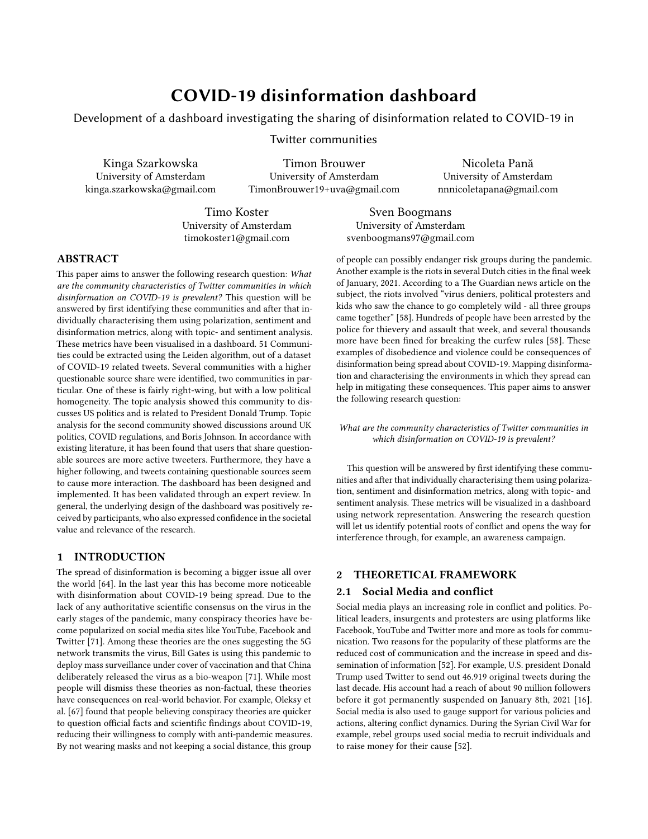exported package is hosted on the web, enabling it to function with any browser. The visualisations for each dimension page have been created with Tableau Desktop [\[33\]](#page-10-20), as Sheets[\[37\]](#page-10-21). The set of visualisations corresponding to each of the dimension pages on the dashboard is a Tableau Dashboard [\[9\]](#page-10-22). The completed dashboards are published first on Tableau Public [\[18\]](#page-10-23), which offers storage and hosting space for visualisations produced with Tableau. From here, the embed code generated is used to integrate the different dashboards in the main website. Filter controls are also defined in Tableau Desktop. These filters [\[8\]](#page-10-24) enable the manipulation of visualisations. For example,a particular community of which the results are displayed can be selected, or only particular ranges of community characteristics (e.g. the displayed range of communities with an echo chamber score between 1 and 3) can be shown. The separate visualisations generated with SigmaExporter and Tableau are then combined by embedding them in a website. The website is built on a combination of HTML [\[26\]](#page-10-25), CSS [\[12\]](#page-10-26), JavaScript [\[27\]](#page-10-27) and a series of frameworks like CSS Normalize [\[29\]](#page-10-28). The website building service Webflow [\[31\]](#page-10-29) has been used for this and the implementation is hosted on the staging site provided by Webflow. Through this service , via a graphical user interface, the structure and design of the dashboard is defined in different pages. Page headings, the 'Start' page and the 'About' page are fully built in Webflow. The service also generates a downloadable code package for the entire website. This means it is possible to, at any time, relocate the implementation from the Webflow staging area to another web environment. The SigmaExporter generated visualisation and Tableau Public dashboards are all embedded in this setup. Using multiple services also ensures for sufficient storage space for hosting all dashboard elements.

3.4.3 Validation. To evaluate the usability and gather additional insights on the dashboard, an expert review [\[24,](#page-10-30) [36\]](#page-10-31) is employed. In the case of expert reviews, the participants know, as well as understand the heuristics at hand. In such, no specific set of heuristics is defined [\[36\]](#page-10-31). Focus points are used as guides in the setting, which is more informal than, for example, a heuristic evaluation [\[36\]](#page-10-31), but nonetheless useful for obtaining relevant feedback which can accommodate for more rich qualitative insights, next to those obtained on usability aspects [\[24,](#page-10-30) [36\]](#page-10-31). The following setup was used for the review: firstly, participants were given an introduction of the research questions, broader context of the research and the focus points and goals of the evaluation. This was done before each individual review. During sessions, the participant was guided by the interviewer through a set of actions within the dashboard environment, which were pre-defined in a guiding tasks list. Throughout the process, the interviewer observes the actions of the participant, takes note of where they struggle, what questions they ask, and how they move through the tasks list, as well as notes on the basis of the prior defined focus points. The interviewer also asks followup questions. The guiding tasks list employed is comprised of the following steps:

- (1) Open URL.
- (2) Navigate to Network dimension.
- (3) See what communities are biggest, what the overall network is like.
- (4) Proceed to explore information about the communities themselves. Identify communities that you find interesting with respect to their characteristics
- (5) Proceed to further look at the disinformation dimension
- (6) In this view, identify 3 communities which are high in disinformation, which you consider worth further exploring.
- (7) Identify if these communities have specific political characteristics, or sentiment.
- (8) What about the disinformation landscape within these communities? Go back to disinformation and see what disinformation is shared, how and by what type of user.

A series of guiding focus points were used in the process of the expert review. In terms of overall perception, attention was paid to what participants appreciated about the proposed solution and what their criticisms were. Furthermore, the kinds of questions they asked and their suggestions were recorded. With respect to usability, attention was paid to whether participants attempted to achieve the right outcome (e.g. navigate to the Communities dimension), whether they saw that the correct action was available to them and whether that correct action was associated with an expected result (e.g. whether it was possible to navigate to the Communities dimension via the global navigation). If the correct action was made, it was probed whether the participant noticed that there is progress towards the intended goal [\[25\]](#page-10-32). In terms of evaluating the explainability, the following points were defined: whether the participant understood what kind of data is used and where, whether the participant understood the analysis methods employed, to what extend the level of detail in the descriptions satisfied the participant's expectations. In terms of the desirability and value of the dashboard, attention has been paid to what participants consider to be the value of the dashboard on a societal level and within the context of conflicts and misinformation campaigns. How the participant regarded the ethical and privacy aspects of the dashboard was also noted.

The sessions were conducted in an online environment, via the conferencing tool called Zoom [\[34\]](#page-10-33). Participants shared their screen and the session was recorded when explicit consent was given by the participant to do so. The interviewer further took notes on the basis of the predefined focus points list. Three domain experts participated in three separate expert review sessions. Their areas of expertise are: cybersecurity, data science, ethical computing and design.

#### 4 RESULTS

#### 4.1 Communities

The dataset that was analysed consisted of over 18 million tweets, from over 5.9 million users, with over 3.8 million links shared. The network was characterized using graph representation, where nodes were associated with users, and an edge between two nodes exists when a user interacts with another user. In the Twitter dataset, we can extract 3 kinds of interactions, namely: retweets, replies, and quotes, and all of them were included in the network (with equal weight). Leiden algorithm was used to extract communities from that representation, and it returned 51 communities with a number of users greater than 1000. Only those communities were further analysed in the context of answering our research question. As the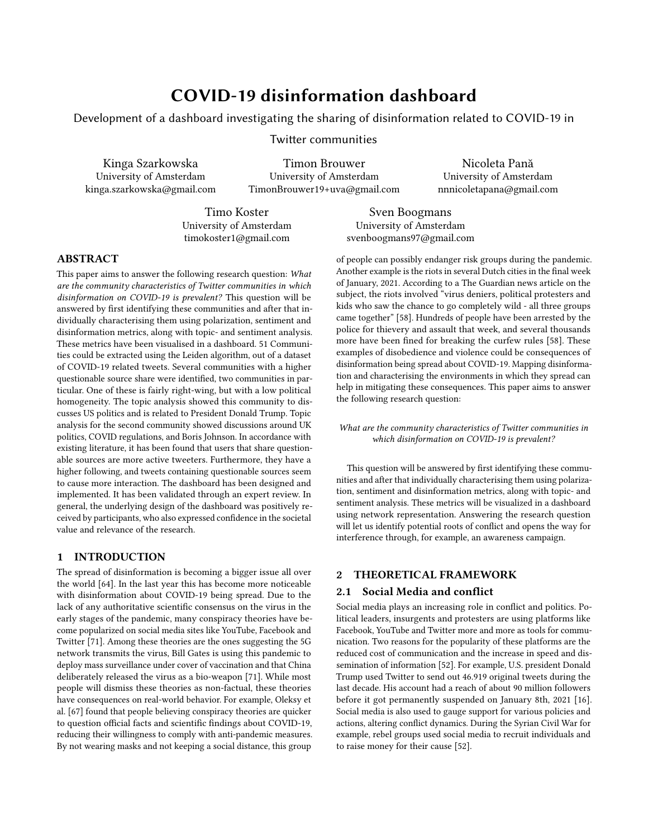number of communities was not sufficient for statistical analysis (and correlation analysis between selected metrics), we will describe further our findings for every metric separately, and in addition for the two communities with the biggest share of questionable sources.

4.1.1 Summary of investigated metrics. Political Polarity. The average political polarity for the investigated communities is -0.22, thus a left-wing polarity. Furthermore, only one community was identified with a right-wing polarity (+0.28). The most left-wing community scored a polarity of -0.44.

Echo Chamber Score. The average echo-chamber score for the investigated communities is 1.23. One extreme outlier was identified, with an echo-chamber score of 6.32. This high echo-chamber score was mostly due to a low expansion (this community had the lowest expansion of the investigated communities). All other communities had an echo-chamber score lower than 2.8.

Questionable Sources. The average number of questionable sources shared per tweet (for the investigates communities) is 0.23%. In other words, a questionable source was detected for (approximately) one in every 435 tweets. Community 3 had the highest share of questionable sources per tweet: 1.92% or (approximately) one in every 52 tweets.

Sentiment Analysis. For the network 39.47% tweets were labeled as negative, 22.12% as neutral and 38.41% as positive. Average sentiment per community was calculated, and in 2/51 communities negative sentiment was observed (average sentiment value lower than -0.1), in 22/51 communities neutral sentiment (values between -0.1 and 0.1), and in 26/51 communities positive one (values above 0.1).

Discussion Topics. Most popular topics for the network were extracted, the ones that were not ambiguous are: COVID-19 restrictions, Entertainment Asia, Malaysian politics and entertainment, USA elections, and USA elections and Australia. The most negative sentiment was associated with USA elections (-0.16), and the most positive one with Entertainment Asia (0.09). For the communities variety of topic were extracted, from Bio-tech, or Data Science though politics for separate countries such us USA, UK, Canada, Australia, and the ones connected to entertainment such as football, k-pop or TV-shows. The exact topic extraction can be found on the dashboard, with sentiment association.

4.1.2 Communities with the biggest share of questionable sources. The communities with the biggest share of questionable sources will from now on be referred to as community 3 and community 6, denoting their rank in size (number of users in the community). As can be seen from figure [3,](#page-7-0) these communities show a high prevalence of questionable sources compared to the other communities. Each bubble in (figure [3\)](#page-7-0) represents a community identified by the Leiden algorithm. The size of a bubble represents its size in number of users. The color represents the prevalence of questionable sources per tweet (percentage). Some bubbles are numbered (top) with their community number, denoting their rank in terms of community size (number of users). Some communities also have the number of questionable sources shown (bottom). Communities 3 and 6 also stand out in terms of political polarity score, as can be seen in figure [4.](#page-7-1) Community 3 has the most right-wing denoting

<span id="page-7-0"></span>

<span id="page-7-1"></span>Figure 3: Questionable sources for the communities.



Figure 4: Political polarity for the communities.

polarity score, followed by community 6. The color of a bubble in (figure [4\)](#page-7-1) represents the political polarity of the community. Size and numbering (top) is the same as in figure [3.](#page-7-0) Some communities have their political polarity shown (bottom number). Communities 3 and 6 did not have an outlying echo-chamber score compared to the other communities. Both the political homogeneity and expansion for communities 3 and 6 were around the average of all communities analyzed. Communities 3 and 6 discuss the political situation (next to COVID-19), for USA and UK accordingly. Most frequent hashtags used in community 3 are hashtags such as trump2020, maga, foxandfriends, debates2020. the most frequent hashtags used in community 6 are hashtags such as antilockdown, borisjohnson, antiprotest, covid1984, trafalgarsquare. Sentiment for each of the topics selected by LDA is negative (with values -0.13 and -0.14 for both USA politics topics in community 3, -0.12 for UK politics in community 6). The average sentiment value for community 3 is equal to -0.07, and -0.10 for community 6, which is  $4^{th}$  and  $2^{nd}$ lowest sentiment.

#### 4.2 Users and tweets

Below, the means for the various user and tweet metrics are displayed for users and tweets sharing questionable sources (QS) and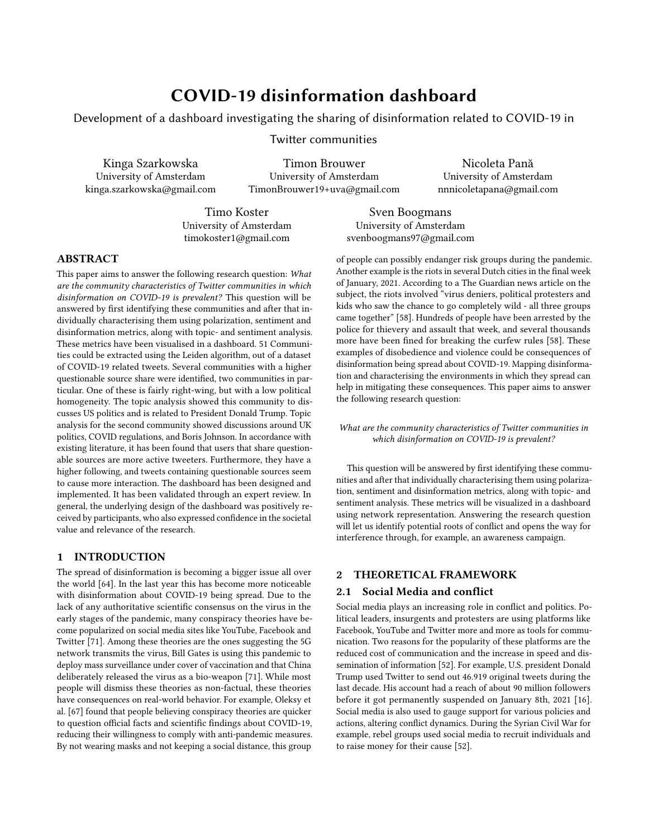those who do not, after trimming the top 1% of the respective metrics (aside from account age).

#### Table 1: User Metrics

| Metric                  | Non-OS Users | QS Users | p-value            |  |
|-------------------------|--------------|----------|--------------------|--|
| Tweets in dataset       | 2.59         | 27.48    | 0.0                |  |
| Account followers       | 2.851        | 4.919    | 0.00013            |  |
| Retweets per tweet      | 6.454        | 1,816    | 0.0                |  |
| Times mentioned         | 0.57         | 7.37     | 0.0                |  |
| Account Age (days)      | 2,103        | 1,989    | - 73<br>2.73<br>10 |  |
| Verified User Share (%) | 1.40         | 0.81     | - 33<br>1.40<br>10 |  |

Table 2: Tweet (containing a URL) Metrics

| Metric            | Non-OS Users | QS Users | p-value |           |
|-------------------|--------------|----------|---------|-----------|
| Retweets          | 0.77         | 1.24     | 1.77    | 299<br>10 |
| Replies/Quotes in | 0.072        | 0.105    | 1.74    | -92<br>10 |
| Favourites        | 2.22         | 2.00     | 3.09    | -10<br>10 |
| Mentions in tweet | 0.38         | 0.53     | 1.78    | 245<br>10 |
| Hashtags in tweet | 0.68         | 0.45     | 2.11    | 172<br>10 |
| URL's in tweet    | 1.028        | 1.049    | 7 1 1   | 140<br>10 |

#### 4.3 Validation of the dashboard

The results of the dashboard validation provide insight into the usability of the dashboard, the usefulness of explanations and resources provided, the types of visualisations employed, as well as ethical considerations and general perceptions. Overall, participants were positive about the design of the dashboard, but also confident in the societal value of the research results presented. Next to this, the approach to organising information was positively received by participants, who appreciated the structuring of insights within different dimensions, as a more prescriptive approach to navigating through the results presented. Participants were able to navigate within pages and identify possible actions, as well as complete the tasks given to them in full. However, some issues were observed with the discoverability of the global navigation, positioned as a side-bar throughout the dashboard. Two of the participants did not immediately notice it is possible to navigate between dimensions via this global navigation. The other aspect influencing the usability, is the performance of the network visualisation created in Gephi. The slow loading and response time of the visualisation, appears to hinder seamless interaction with the network for the participants, as it becomes confusing whether an action (e.g. a click on an instance, or zooming in/out) has succeeded. In terms of information visualisation, participants remarked that representation of particular characteristic of the communities in different bubble charts, could better be combined in a multidimensional visualisation. For this, participants suggested making use of the position of the bubbles in representing certain features (their 'X' and 'Y' coordinates), or employing graphical markers overlaid on top of each bubble (e.g. icons, basic shape groups) to represent different characteristics. Then, it is possible to use a set of toggle buttons to

score shown on bubbles and political polarity). With respect to the explanations and resources provided in the dashboard (section information showing data and methods used for analysis and results), participants explained that it gave them a sense that the results presented in the dashboard are reliable and verifiable, conferring them additional trust in the information presented. On the other hand, it was unclear to the participants why a user is only shown as a member of one community and not more. This is a feature of the Leiden algorithm, detailed in Section 3.2, however it is not explicitly stated in the dashboard. Two of the participants expressed a desire to be able to directly navigate to information about the employed methods via these explanation sections. They suggested linking a certain method (e.g. NLTK Vader) to external resources, or documentation about it. One participant also expressed the desire to be able to inspect the code used for each section, so that they have the option to reproduce the results as a way of evaluating the dashboard. Although access to the code did not appear as a major ethical/privacy issue to 2 of the 3 participants, all acknowledged the importance of taking steps to prevent that the methods and dashboard are used to target individuals. Other questions have been raised with respect to ethics, however. Concerns were expressed about the scope of interventions supported by the dashboard on a time span of several years, scope which was perceived as unknown, or, at best, uncertain. To address these concerns, the scope and purpose of the dashboard must be further clarified.

switch between the overlays (e.g. switch between echo chamber

## 5 CONCLUSION AND DISCUSSION

#### 5.1 Communities

In this research, 51 communities extracted by the Leiden algorithm were analysed, out of a COVID-19 related dataset. the aim was to answer the research question presented in the introduction: What are the community characteristics of Twitter communities in which disinformation on COVID-19 is prevalent? Therefore, several communities were identified with a higher QS share, namely community 3 and 6. Diving into those communities, it can be seen that community 3 and 6 are fairly right-wing, but with a low political homogeneity. The topic analysis showed community 3 discusses US politics and is related to President Donald Trump. USA elections were a subject of a worldwide debate, with highly engaged voters from both sides of the political spectrum, which might explain the low political homogeneity score for community 3. Topic analysis for community 6 showed discussions around UK politics, COVID regulations, and relation to Boris Johnson. Another explanation for the low echo chamber score might be the usage of replies as graph edges. It is known that user mentions are often used in twitter discussions, connecting people with opposing views, and lowering the political homogeneity [\[49\]](#page-11-18). The same might very well be true for replies, although further investigation is needed to verify this. A more accurate way of finding echo chambers might be to look at the accounts a user follows, as this shows what content a user consumes in a better way. This method has been used in literature in characterising twitter communities [\[53,](#page-11-40) [65\]](#page-11-41), however in the last couple of years twitter has made it more difficult to gather this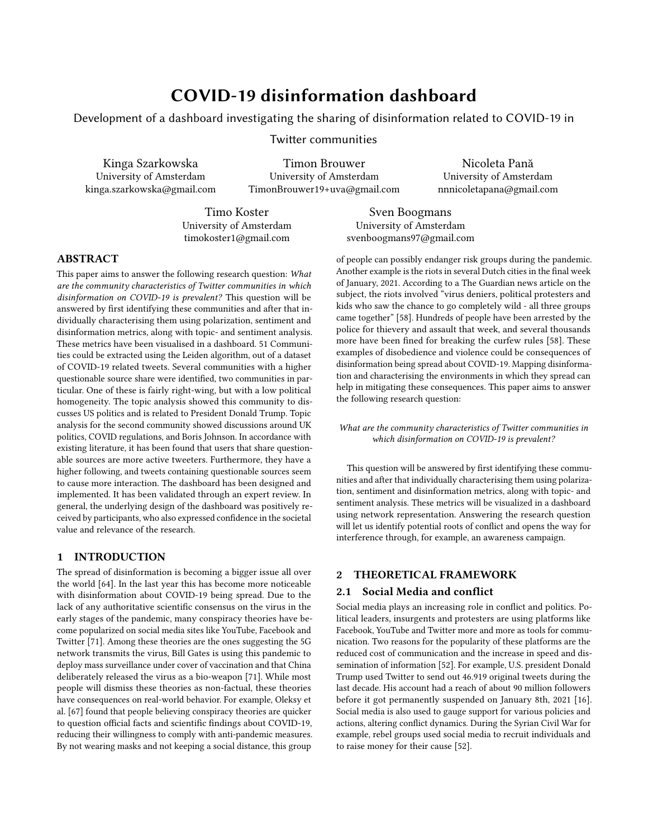information  $11$ . Because only two communities were extracted with a outstandingly higher QS share, any statistical analysis towards a correlation between the selected metrics was not feasible. What is more, the distributions of values in each metrics were skewed, which occurred for example in the fact that the analysed communities are predominantly left-wing. That might be explained by the topics that are discussed within those communities next to COVID-19, as most of them discuss entertainment, or are not related to English-speaking environment (because are from Asia, or Africa). What is more, clearly selected topics present the Leiden algorithm as a relatively well working communities extraction tool. Another discussion point worth mentioning is the validation score for the sentiment analysis. As the weighted F1-score was a rather low value, we should not consider VADER sentiment as a proper sentiment alignment tool to the considered dataset. Due to the time limitations of the project, it was impossible to consider other sentiment analysis tools, but the selection of a tool such as this must be carefully researched and validated before interpretation of the results. For that reason, we only present the sentiment values in the results section, and we do not conclude anything more out of them. Also, human interactions are complicated and therefore analysis of them in the scope of positive-negative-neutral sentiment is rather a simplification than a truthful representation of what might be happening in the network.

# 5.2 Users and tweets

It can be seen that users that have shared questionable sources are a lot more active in the dataset, in accordance with literature. However, this is of course partially due to the fact that if a user appears in the dataset more often, there is a higher chance of finding a tweet containing a link to questionable sources.

Users sharing questionable sources do have a higher following in general, which indicates that these links are being seen by a significant group of users, which is a meaningful metric when looking at the amount of questionable sources shared within the dataset.

Looking at the mean amount of retweets a user gets, it is demonstrated that users who haven't shared questionable sources seem to get substantially more retweets, contradicting literature. However, this metric is highly influenced by outliers and accounts that appear a low number of times in the dataset. This becomes especially apparent when looking at the medians: QS users have a median amount of retweets per tweet of 810, while non-QS users have a median of 109. The amount of times a user has been mentioned in the dataset also points towards higher activity of QS users, however this of course will also be influenced by the amount of tweets in the dataset and the amount of followers one has. Then, the age of accounts of QS users is on average lower than non-QS users. This seems to indicate that Twitter might ban users that share too many QS links, or that new accounts are created to spread information about a certain topic. This is aligned with literature, as it has been demonstrated that bot-accounts typically have a more recent creation date [\[62\]](#page-11-42). Looking at tweets that contain links, we find similar results. Seemingly, questionable sources are inciteful, and generally cause more interaction. This is mostly apparent when comparing

the retweets and incoming replies or quotes. Note that these incoming replies and quotes only consist of tweets that exist within the used dataset. They also use mentions more often, possibly a way to get more attention to the shared link.

## 5.3 Dashboard

The dashboard has been designed and implemented, making research results available in an interactive fashion. It has been validated through an expert review, which garnered important feedback. In general, the underlying design of the dashboard was positively received by participants, who also expressed confidence in the societal value and relevance of the research. One participant even suggested that a reduced version of the dashboard, that is, the separate interactive visualisations, should be made available to nonprofit organisations, or journalism outlets, so that it can be used to raise awareness about COVID-19 disinformation. Nevertheless, a series of limitations remain, which must be further discussed and addressed. In terms of usability, the discoverability of the global navigation appears to have posed some problems in the validation, where two out of the three participants did not immediately notice it is possible to navigate from there to other dimensions. This could be due to the fact that the panel is not sufficiently visually emphasized and so, in the visual hierarchy of a particular page, it is not that easily noticed. This can be addressed by, for example, introducing more contrast between the bar and the page view (e.g. by adding more prominent borders, rather than using volume representation, so drop shadows to differentiate between the two components). It could also be that the way the dashboard is currently built (multi-page website) contributes to this and that a tab structure[\[7\]](#page-10-34), may facilitate better navigation [\[7\]](#page-10-34). This however, requires further investigation. Furthermore, the slow response of the Gephi exported network visualisation appears to prevent easy, seamless exploration of the results it shows. The explanation for the long response time can be traced to the frameworks used to generate the network, as well as the large volume of data, which SigmaJS [\[32\]](#page-10-35), the framework behind SigmaExporter has difficulty handling in a web environment. This is a known issue and newer tools like Graphia [\[21\]](#page-10-36) and techniques like Largeviz [\[77\]](#page-11-43), work to address, by accounting for better performance with large datasets (more than 1 million edges) [\[77\]](#page-11-43). It is also important to note that, by employing an unsupervised approach to topic analysis, the Latent Dirichlet Allocation (LDA), there is a chance that the dashboard may be less dynamic over time. This is because, the process of labelling topics with an overall theme and employing the algorithm to extract relevant topics must be done repeatedly to account for new topics, and requires human understanding of the words extracted by the LDA. This is currently not the case, however, it can be undertaken as part of, for example, a regular maintenance process of the dashboard. Furthermore, the validation sessions of the dashboard show that certain explanations could be expanded to include more justifications of the results yielded by the methods employed (e.g. why Leiden algorithm assigns instances to only one community). These additional explanations could also link to more detailed information about the methods and data, to increase transparency and enable results to be better reproduced for the purpose of validating the research. However, this poses certain risks with

<span id="page-9-0"></span><sup>11</sup>[https://blog.twitter.com/developer/en\\_us/topics/tools/2018/new-developer](https://blog.twitter.com/developer/en_us/topics/tools/2018/new-developer-requirements-to-protect-our-platform.html)[requirements-to-protect-our-platform.html](https://blog.twitter.com/developer/en_us/topics/tools/2018/new-developer-requirements-to-protect-our-platform.html)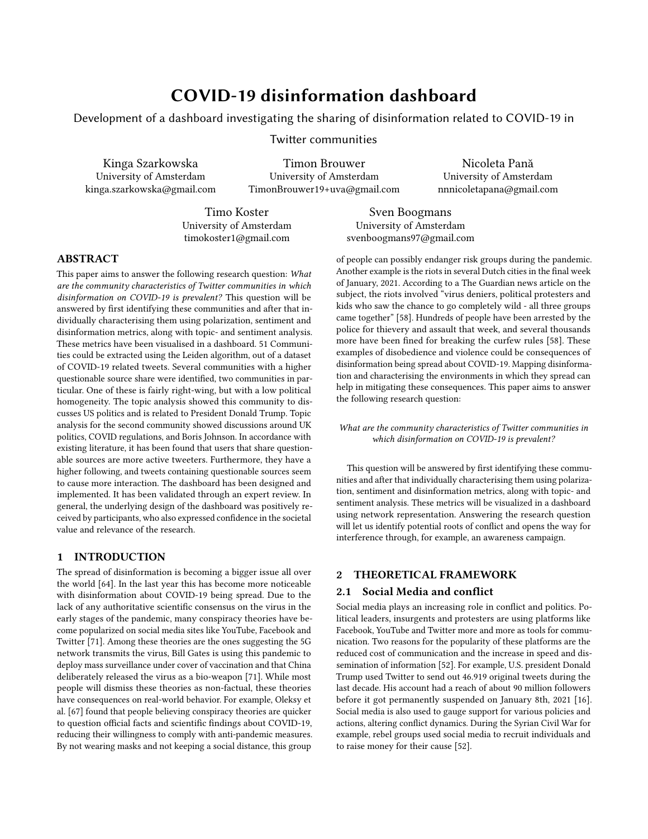respect to privacy, as the methods could potentially be used for purposes outside of the scope of the dashboard, like targeting specific individuals (for example, by replacing the dataset used with one where personal information is not anonymised). This becomes even more of a risk if, should a data, or systems breach occur, the code becomes accessible to potentially hostile actors with poor human rights track records, which could make use of the approach and methods to target dissent.

#### 5.4 General limitations and ethical concerns

This research possesses a number of limitations, primarily in the data used. The political polarity dataset is from 2015, from before the election of Trump. The online and political landscape has changed a lot since. The considered tweets in determining the political leaning of a user were also of course only tweets concerning the COVID situation. To get a better view of the user's general political leaning also tweets about other subjects should be considered. Furthermore, the questionable sources dataset is not more than a list of domains that have shared questionable sources, with domains ranging from the DailyMail to Infowars. These sources count the same in this research, but evidently some are more legitimate than others. Furthermore, just one week of data was collected. The analyses done are then impacted by whichever event happened during that specific timeframe, most notably the topic analysis. This also means that tweets that were tweeted earlier within the week had more time to gain traction and thus connections, then tweets at the end of this week. Finally, there is a substantial amount of users that only appear in the dataset once or twice, making it rather difficult to assign them to a correct community. Finally, one must be wary of what the research and results can be used for. By selecting certain websites as questionable, what is considered to be the truth, or rather, non-questionable news sources can be altered. In that sense, it must be made explicit that the purpose of this dashboard is to be used for analysing what helps the spread of fake news, but not for it to help in targeting specific people or groups. To that end all the information in the dashboard is anonymised.

#### 5.5 Future research

To further improve the outcomes of the research and add new valuable dimensions to the proposed solution, a series of steps can be undertaken. They can be categorized as either improvements to current methods, or extensions to the current research and outcomes: Improving current methods

Increase the alignment between the twitter data and used datasets;

Improve questionable sources dataset quantitatively and qualitatively (e.g. using a questionable source score per website)

Consider more advanced emotions analysis instead of basic sentiment analysis;

Incorporate validation results better into the dashboard;

Perform further validation with a larger sample of participants.

#### Extend research and outcomes

Incorporate time data;

Analyse topics within questionable sources;

Compare COVID-19 results to general twitter data; Extend topic analysis of different topics (non-COVID-19) Integrate new research in dashboard and perform further validation.

#### REFERENCES

- <span id="page-10-12"></span>[1] 2013. Using the Graph API. [https://developers.facebook.com/docs/graph](https://developers.facebook.com/docs/graph-api/using-graph-api/)[api/using-graph-api/](https://developers.facebook.com/docs/graph-api/using-graph-api/)
- <span id="page-10-13"></span>[2] 2015. YouTube Data API.<https://developers.google.com/youtube/v3/>
- <span id="page-10-17"></span>2020. How to use Twitter hashtags. [https://help.twitter.com/en/using-twitter/](https://help.twitter.com/en/using-twitter/how-to-use-hashtags) [how-to-use-hashtags](https://help.twitter.com/en/using-twitter/how-to-use-hashtags)
- <span id="page-10-16"></span><span id="page-10-14"></span>[4] 2020. Hydrator.<https://github.com/DocNow/hydrator> 2020. Standard search api. [https://developer.twitter.com/en/docs/tweets/search/](https://developer.twitter.com/en/docs/tweets/search/overview)
- [overview](https://developer.twitter.com/en/docs/tweets/search/overview)
- <span id="page-10-34"></span><span id="page-10-15"></span>[6] 2020. Twarc.<https://github.com/DocNow/twarc><br>[7] 2021. 14 Guidelines For Web Site Tabs Usabili 2021. 14 Guidelines For Web Site Tabs Usability - Usability Geek. [https:](https://usabilitygeek.com/14-guidelines-for-web-site-tabs-usability/) [//usabilitygeek.com/14-guidelines-for-web-site-tabs-usability/](https://usabilitygeek.com/14-guidelines-for-web-site-tabs-usability/)
- <span id="page-10-24"></span>[8] 2021. Adding Filters to Dashboards | Tableau Software. [https://kb.tableau.com/](https://kb.tableau.com/articles/howto/adding-filters-to-dashboards) [articles/howto/adding-filters-to-dashboards](https://kb.tableau.com/articles/howto/adding-filters-to-dashboards)
- <span id="page-10-22"></span><span id="page-10-6"></span>2021. Business Intelligence and Analytics Software.<https://www.tableau.com/> 2021. COVIDGeo Misinformation Dashboard 2020. [https://datastudio.google.](https://datastudio.google.com/reporting/5283a98c-af82-451b-8cb1-cd86f5915568/page/MM)
- <span id="page-10-5"></span>[com/reporting/5283a98c-af82-451b-8cb1-cd86f5915568/page/MM](https://datastudio.google.com/reporting/5283a98c-af82-451b-8cb1-cd86f5915568/page/MM) [11] 2021. COVIDGlobal Misinformation Dashboard 2020. [https://datastudio.google.](https://datastudio.google.com/reporting/87b00158-5589-4154-a81b-c17cdb0d0d19/page/Kn2IB)
- [com/reporting/87b00158-5589-4154-a81b-c17cdb0d0d19/page/Kn2IB](https://datastudio.google.com/reporting/87b00158-5589-4154-a81b-c17cdb0d0d19/page/Kn2IB) [12] 2021. CSS: Cascading Style Sheets | MDN. [https://developer.mozilla.org/en-](https://developer.mozilla.org/en-US/docs/Web/CSS)
- <span id="page-10-26"></span>[US/docs/Web/CSS](https://developer.mozilla.org/en-US/docs/Web/CSS) [13] 2021. Dashboarding & Data Visualization Tools - Google Data Studio. [https:](https://marketingplatform.google.com/about/data-studio/)
- <span id="page-10-7"></span>[//marketingplatform.google.com/about/data-studio/](https://marketingplatform.google.com/about/data-studio/) [14] 2021. Dashboarding & Data Visualization Tools - Google Data Studio. [https:](https://marketingplatform.google.com/about/data-studio/)
- <span id="page-10-18"></span>[//marketingplatform.google.com/about/data-studio/](https://marketingplatform.google.com/about/data-studio/)
- <span id="page-10-4"></span>[15] 2021. Data Visualization | Microsoft Power BI. [https://powerbi.microsoft.com/en-](https://powerbi.microsoft.com/en-us/) $\frac{1}{1}$
- <span id="page-10-0"></span>[16] 2021. Donald Trump and Twitter – 2009 / 2021 analysis. [https://www.tweetbinder.](https://www.tweetbinder.com/blog/trump-twitter/) [com/blog/trump-twitter/](https://www.tweetbinder.com/blog/trump-twitter/)
- <span id="page-10-9"></span>[17] 2021. Fact Check Tools.<https://toolbox.google.com/factcheck/explorer>
- <span id="page-10-23"></span>[18] 2021. Free Data Visualization Software | Tableau Public. [https://public.tableau.](https://public.tableau.com/en-us/s/) [com/en-us/s/](https://public.tableau.com/en-us/s/)<br>[19] 2021.
- <span id="page-10-8"></span>2021. gephi-plugins/modules/sigmaExporter at sigma<br>exporter-plugin oxford<br>internet<br>institute/gephi-plugins GitHub. https:  $\cdot$ oxfordinternetinstitute/gephi-plugins $\hspace{0.1cm} \cdot \hspace{0.1cm}$ GitHub. [//github.com/oxfordinternetinstitute/gephi-plugins/tree/sigmaexporter](https://github.com/oxfordinternetinstitute/gephi-plugins/tree/sigmaexporter-plugin/modules/sigmaExporter)[plugin/modules/sigmaExporter](https://github.com/oxfordinternetinstitute/gephi-plugins/tree/sigmaexporter-plugin/modules/sigmaExporter)
- <span id="page-10-10"></span>[20] 2021. Google Translate.<https://translate.google.com/>
- <span id="page-10-36"></span>[21] 2021. Graphia | Visualisation tool for the creation and analysis of graphs. [https:](https://graphia.app/) [//graphia.app/](https://graphia.app/)
- <span id="page-10-2"></span>[22] 2021. Hamilton 2.0 | RAND. [https://www.rand.org/research/projects/truth](https://www.rand.org/research/projects/truth-decay/fighting-disinformation/search/items/hamilton-20.html)[decay/fighting-disinformation/search/items/hamilton-20.html](https://www.rand.org/research/projects/truth-decay/fighting-disinformation/search/items/hamilton-20.html)
- <span id="page-10-3"></span>[23] 2021. Hamilton 2.0 Dashboard – Alliance For Securing Democracy. [https:](https://securingdemocracy.gmfus.org/hamilton-dashboard/) [//securingdemocracy.gmfus.org/hamilton-dashboard/](https://securingdemocracy.gmfus.org/hamilton-dashboard/)
- <span id="page-10-30"></span>[24] 2021. Heuristic Evaluations and Expert Reviews | Usability.gov. [https://www.](https://www.usability.gov/how-to-and-tools/methods/heuristic-evaluation.html) [usability.gov/how-to-and-tools/methods/heuristic-evaluation.html](https://www.usability.gov/how-to-and-tools/methods/heuristic-evaluation.html)
- <span id="page-10-32"></span>[25] 2021. How to Conduct a Cognitive Walkthrough | Interaction Design Foundation (IxDF). [https://www.interaction-design.org/literature/article/how-to-conduct](https://www.interaction-design.org/literature/article/how-to-conduct-a-cognitive-walkthrough)[a-cognitive-walkthrough](https://www.interaction-design.org/literature/article/how-to-conduct-a-cognitive-walkthrough)
- <span id="page-10-25"></span>[26] 2021. HTML: HyperText Markup Language | MDN. [https://developer.mozilla.](https://developer.mozilla.org/en-US/docs/Web/HTML)  $\begin{array}{lll} & \text{org/en-US/docs/Web/HTML} \\ \text{[27]} & \text{2021.} & \text{JavaScript} \mid \text{MDN.} \end{array}$  $\begin{array}{lll} & \text{org/en-US/docs/Web/HTML} \\ \text{[27]} & \text{2021.} & \text{JavaScript} \mid \text{MDN.} \end{array}$  $\begin{array}{lll} & \text{org/en-US/docs/Web/HTML} \\ \text{[27]} & \text{2021.} & \text{JavaScript} \mid \text{MDN.} \end{array}$
- <span id="page-10-27"></span>https://developer.mozilla.org/en-US/docs/Web/ [JavaScript](https://developer.mozilla.org/en-US/docs/Web/JavaScript)
- <span id="page-10-19"></span>[28] 2021. Moscow Method | Interaction Design Foundation (IxDF). [https://www.](https://www.interaction-design.org/literature/topics/moscow-method) [interaction-design.org/literature/topics/moscow-method](https://www.interaction-design.org/literature/topics/moscow-method)
- <span id="page-10-28"></span>[29] 2021. Normalize.css: Make browsers render all elements more consistently. <https://necolas.github.io/normalize.css/>
- <span id="page-10-1"></span>[30] 2021. RAND Corporation Provides Objective Research Services and Public Policy Analysis | RAND.<https://www.rand.org/>
- <span id="page-10-29"></span>[31] 2021. Responsive web design tool, CMS, and hosting platform | Webflow. [https:](https://webflow.com/) [//webflow.com/](https://webflow.com/)
- <span id="page-10-35"></span>[32] 2021. Sigma js.<http://sigmajs.org/><br>[33] 2021. Tableau Desktop. https://ww
- <span id="page-10-20"></span>[33] 2021. Tableau Desktop.<https://www.tableau.com/products/desktop>
- <span id="page-10-33"></span>[34] 2021. Video Conferencing, Web Conferencing, Webinars, Screen Sharing - Zoom. <https://zoom.us/>
- <span id="page-10-11"></span>[35] 2021. VOSviewer - Visualizing scientific landscapes. [https://www.vosviewer.](https://www.vosviewer.com/) [com/](https://www.vosviewer.com/)
- <span id="page-10-31"></span>[36] 2021. What is an expert review | Experience UX. [https://www.experienceux.co.](https://www.experienceux.co.uk/faqs/what-is-an-expert-review/) [uk/faqs/what-is-an-expert-review/](https://www.experienceux.co.uk/faqs/what-is-an-expert-review/)
- <span id="page-10-21"></span>[37] 2021. Workbooks and Sheets - Tableau. [https://help.tableau.com/current/pro/](https://help.tableau.com/current/pro/desktop/en-us/environ{_}workbooksandsheets.htm) [desktop/en-us/environ{\\_}workbooksandsheets.htm](https://help.tableau.com/current/pro/desktop/en-us/environ{_}workbooksandsheets.htm)